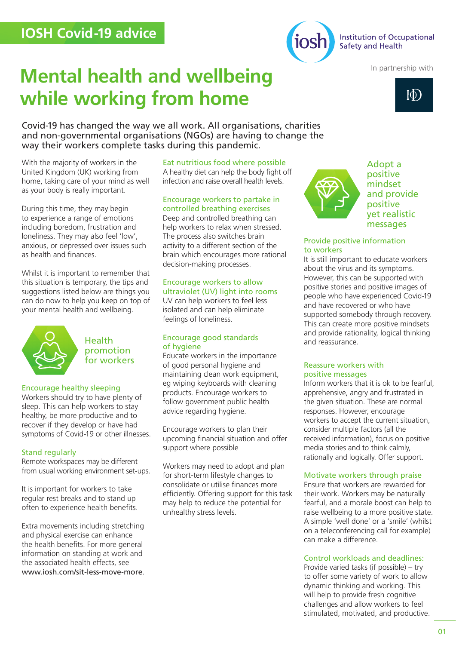

In partnership with

# **Mental health and wellbeing while working from home**

Covid-19 has changed the way we all work. All organisations, charities and non-governmental organisations (NGOs) are having to change the way their workers complete tasks during this pandemic.

With the majority of workers in the United Kingdom (UK) working from home, taking care of your mind as well as your body is really important.

During this time, they may begin to experience a range of emotions including boredom, frustration and loneliness. They may also feel 'low', anxious, or depressed over issues such as health and finances

Whilst it is important to remember that this situation is temporary, the tips and suggestions listed below are things you can do now to help you keep on top of your mental health and wellbeing.



Health promotion for workers

### Encourage healthy sleeping

Workers should try to have plenty of sleep. This can help workers to stay healthy, be more productive and to recover if they develop or have had symptoms of Covid-19 or other illnesses.

### Stand regularly

Remote workspaces may be different from usual working environment set-ups.

It is important for workers to take regular rest breaks and to stand up often to experience health benefits.

Extra movements including stretching and physical exercise can enhance the health benefits. For more general information on standing at work and the associated health effects, see www.iosh.com/sit-less-move-more. Eat nutritious food where possible A healthy diet can help the body fight off infection and raise overall health levels.

#### Encourage workers to partake in controlled breathing exercises

Deep and controlled breathing can help workers to relax when stressed. The process also switches brain activity to a different section of the brain which encourages more rational decision-making processes.

#### Encourage workers to allow ultraviolet (UV) light into rooms

UV can help workers to feel less isolated and can help eliminate feelings of loneliness.

### Encourage good standards of hygiene

Educate workers in the importance of good personal hygiene and maintaining clean work equipment. eg wiping keyboards with cleaning products. Encourage workers to follow government public health advice regarding hygiene.

Encourage workers to plan their upcoming financial situation and offer support where possible

Workers may need to adopt and plan for short-term lifestyle changes to consolidate or utilise finances more efficiently. Offering support for this task may help to reduce the potential for unhealthy stress levels.



Adopt a positive mindset and provide positive yet realistic messages

## Provide positive information to workers

It is still important to educate workers about the virus and its symptoms. However, this can be supported with positive stories and positive images of people who have experienced Covid-19 and have recovered or who have supported somebody through recovery. This can create more positive mindsets and provide rationality, logical thinking and reassurance.

### Reassure workers with positive messages

Inform workers that it is ok to be fearful, apprehensive, angry and frustrated in the given situation. These are normal responses. However, encourage workers to accept the current situation, consider multiple factors (all the received information), focus on positive media stories and to think calmly, rationally and logically. Offer support.

### Motivate workers through praise

Ensure that workers are rewarded for their work. Workers may be naturally fearful, and a morale boost can help to raise wellbeing to a more positive state. A simple 'well done' or a 'smile' (whilst on a teleconferencing call for example) can make a difference.

### Control workloads and deadlines:

Provide varied tasks (if possible) – try to offer some variety of work to allow dynamic thinking and working. This will help to provide fresh cognitive challenges and allow workers to feel stimulated, motivated, and productive.

 $\overline{\Phi}$